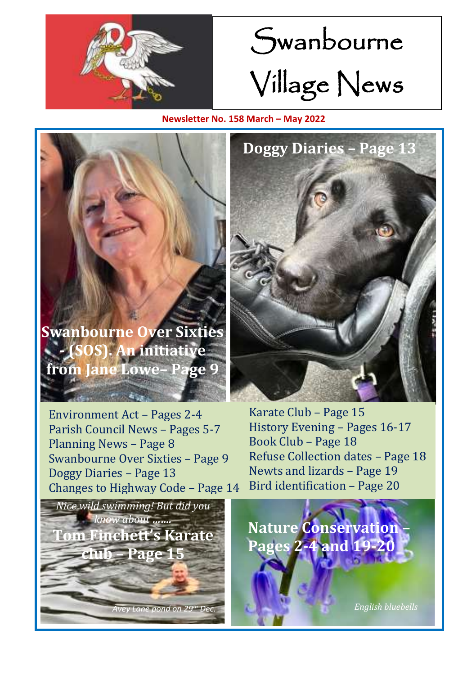

# Swanbourne Village News

**Newsletter No. 158 March – May 2022**

**Swanbourne Over Sixties - (SOS). An initiative from Jane Lowe– Page 9**

Environment Act – Pages 2-4 Parish Council News – Pages 5-7 Planning News – Page 8 Swanbourne Over Sixties – Page 9 Doggy Diaries – Page 13 Changes to Highway Code – Page 14





Karate Club – Page 15 History Evening – Pages 16-17 Book Club – Page 18 Refuse Collection dates – Page 18 Newts and lizards – Page 19 Bird identification – Page 20

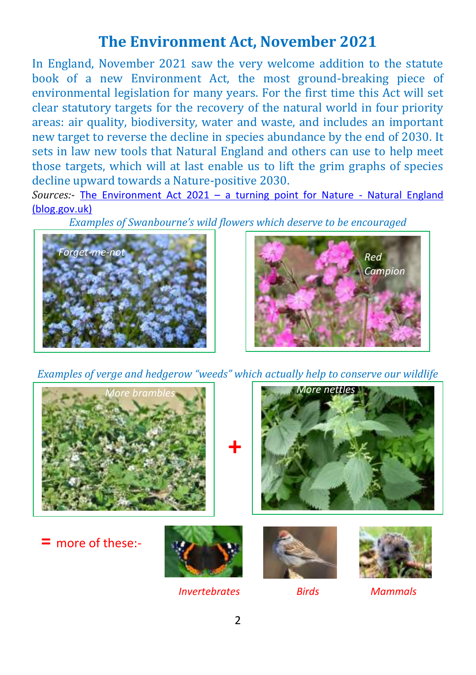#### **The Environment Act, November 2021**

In England, November 2021 saw the very welcome addition to the statute book of a new Environment Act, the most ground-breaking piece of environmental legislation for many years. For the first time this Act will set clear statutory targets for the recovery of the natural world in four priority areas: air quality, biodiversity, water and waste, and includes an important new target to reverse the decline in species abundance by the end of 2030. It sets in law new tools that Natural England and others can use to help meet those targets, which will at last enable us to lift the grim graphs of species decline upward towards a Nature-positive 2030.

*Sources:-* The Environment Act 2021 – [a turning point for Nature -](https://naturalengland.blog.gov.uk/2021/11/23/the-environment-act-2021-a-turning-point-for-nature/) Natural England [\(blog.gov.uk\)](https://naturalengland.blog.gov.uk/2021/11/23/the-environment-act-2021-a-turning-point-for-nature/)

*Examples of Swanbourne's wild flowers which deserve to be encouraged*





*Examples of verge and hedgerow "weeds" which actually help to conserve our wildlife*



 *Invertebrates Birds Mammals*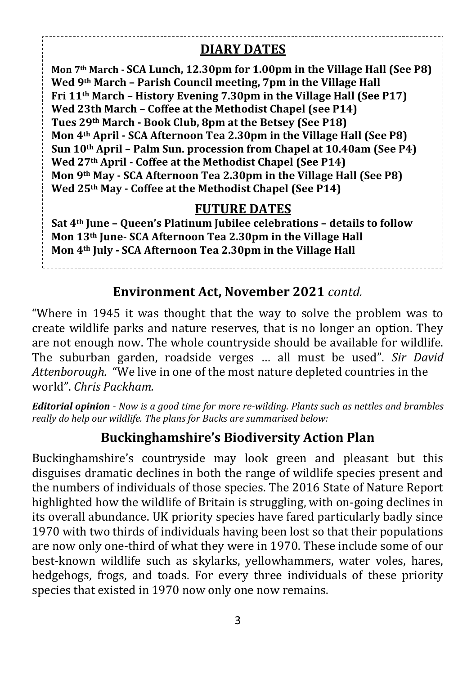#### **DIARY DATES**

**Mon 7th March - SCA Lunch, 12.30pm for 1.00pm in the Village Hall (See P8) Wed 9th March – Parish Council meeting, 7pm in the Village Hall Fri 11th March – History Evening 7.30pm in the Village Hall (See P17) Wed 23th March – Coffee at the Methodist Chapel (see P14) Tues 29th March - Book Club, 8pm at the Betsey (See P18) Mon 4th April - SCA Afternoon Tea 2.30pm in the Village Hall (See P8) Sun 10th April – Palm Sun. procession from Chapel at 10.40am (See P4) Wed 27th April - Coffee at the Methodist Chapel (See P14) Mon 9th May - SCA Afternoon Tea 2.30pm in the Village Hall (See P8) Wed 25th May - Coffee at the Methodist Chapel (See P14)**

#### **FUTURE DATES**

**Sat 4th June – Queen's Platinum Jubilee celebrations – details to follow Mon 13th June- SCA Afternoon Tea 2.30pm in the Village Hall Mon 4th July - SCA Afternoon Tea 2.30pm in the Village Hall**

#### **Environment Act, November 2021** *contd.*

"Where in 1945 it was thought that the way to solve the problem was to create wildlife parks and nature reserves, that is no longer an option. They are not enough now. The whole countryside should be available for wildlife. The suburban garden, roadside verges … all must be used". *Sir David Attenborough.* "We live in one of the most nature depleted countries in the world". *Chris Packham.*

*Editorial opinion - Now is a good time for more re-wilding. Plants such as nettles and brambles really do help our wildlife. The plans for Bucks are summarised below:* 

#### **Buckinghamshire's Biodiversity Action Plan**

Buckinghamshire's countryside may look green and pleasant but this disguises dramatic declines in both the range of wildlife species present and the numbers of individuals of those species. The 2016 State of Nature Report highlighted how the wildlife of Britain is struggling, with on-going declines in its overall abundance. UK priority species have fared particularly badly since 1970 with two thirds of individuals having been lost so that their populations are now only one-third of what they were in 1970. These include some of our best-known wildlife such as skylarks, yellowhammers, water voles, hares, hedgehogs, frogs, and toads. For every three individuals of these priority species that existed in 1970 now only one now remains.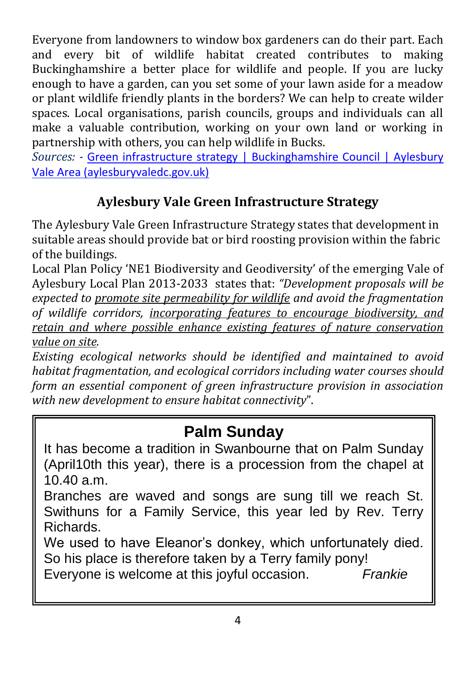Everyone from landowners to window box gardeners can do their part. Each and every bit of wildlife habitat created contributes to making Buckinghamshire a better place for wildlife and people. If you are lucky enough to have a garden, can you set some of your lawn aside for a meadow or plant wildlife friendly plants in the borders? We can help to create wilder spaces. Local organisations, parish councils, groups and individuals can all make a valuable contribution, working on your own land or working in partnership with others, you can help wildlife in Bucks.

*Sources: -* [Green infrastructure strategy | Buckinghamshire Council | Aylesbury](https://www.aylesburyvaledc.gov.uk/green-infrastructure-strategy)  [Vale Area \(aylesburyvaledc.gov.uk\)](https://www.aylesburyvaledc.gov.uk/green-infrastructure-strategy)

#### **Aylesbury Vale Green Infrastructure Strategy**

The Aylesbury Vale Green Infrastructure Strategy states that development in suitable areas should provide bat or bird roosting provision within the fabric of the buildings.

Local Plan Policy 'NE1 Biodiversity and Geodiversity' of the emerging Vale of Aylesbury Local Plan 2013-2033 states that: *"Development proposals will be expected to promote site permeability for wildlife and avoid the fragmentation of wildlife corridors, incorporating features to encourage biodiversity, and retain and where possible enhance existing features of nature conservation value on site.* 

*Existing ecological networks should be identified and maintained to avoid habitat fragmentation, and ecological corridors including water courses should form an essential component of green infrastructure provision in association with new development to ensure habitat connectivity*".

## **Palm Sunday**

It has become a tradition in Swanbourne that on Palm Sunday (April10th this year), there is a procession from the chapel at 10.40 a.m.

Branches are waved and songs are sung till we reach St. Swithuns for a Family Service, this year led by Rev. Terry Richards.

We used to have Eleanor's donkey, which unfortunately died. So his place is therefore taken by a Terry family pony!

Everyone is welcome at this joyful occasion. *Frankie*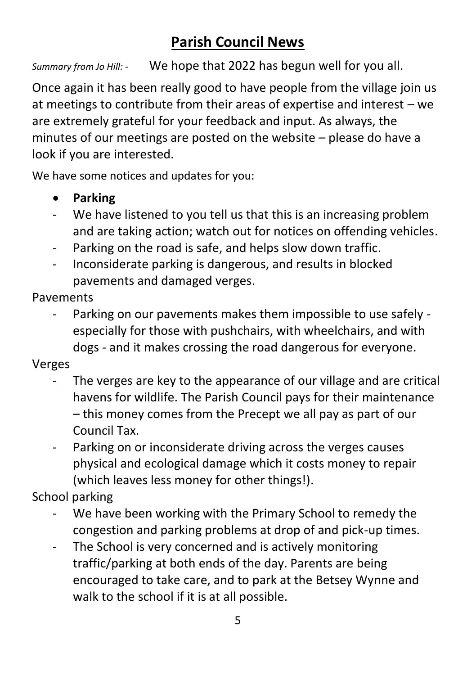## **Parish Council News**

*Summary from Jo Hill: -* We hope that 2022 has begun well for you all.

Once again it has been really good to have people from the village join us at meetings to contribute from their areas of expertise and interest – we are extremely grateful for your feedback and input. As always, the minutes of our meetings are posted on the website – please do have a look if you are interested.

We have some notices and updates for you:

- **Parking**
- We have listened to you tell us that this is an increasing problem and are taking action; watch out for notices on offending vehicles.
- Parking on the road is safe, and helps slow down traffic.
- Inconsiderate parking is dangerous, and results in blocked pavements and damaged verges.

Pavements

- Parking on our pavements makes them impossible to use safely especially for those with pushchairs, with wheelchairs, and with dogs - and it makes crossing the road dangerous for everyone.

Verges

- The verges are key to the appearance of our village and are critical havens for wildlife. The Parish Council pays for their maintenance – this money comes from the Precept we all pay as part of our Council Tax.
- Parking on or inconsiderate driving across the verges causes physical and ecological damage which it costs money to repair (which leaves less money for other things!).

School parking

- We have been working with the Primary School to remedy the congestion and parking problems at drop of and pick-up times.
- The School is very concerned and is actively monitoring traffic/parking at both ends of the day. Parents are being encouraged to take care, and to park at the Betsey Wynne and walk to the school if it is at all possible.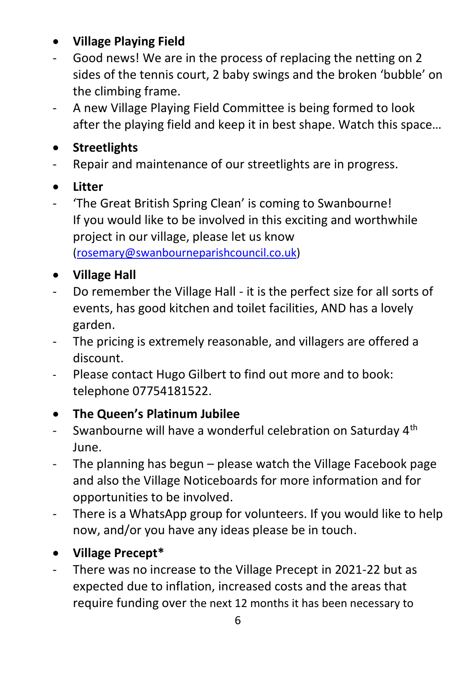#### • **Village Playing Field**

- Good news! We are in the process of replacing the netting on 2 sides of the tennis court, 2 baby swings and the broken 'bubble' on the climbing frame.
- A new Village Playing Field Committee is being formed to look after the playing field and keep it in best shape. Watch this space…

#### • **Streetlights**

- Repair and maintenance of our streetlights are in progress.

#### • **Litter**

- 'The Great British Spring Clean' is coming to Swanbourne! If you would like to be involved in this exciting and worthwhile project in our village, please let us know [\(rosemary@swanbourneparishcouncil.co.uk\)](mailto:rosemary@swanbourneparishcouncil.co.uk)

#### • **Village Hall**

- Do remember the Village Hall it is the perfect size for all sorts of events, has good kitchen and toilet facilities, AND has a lovely garden.
- The pricing is extremely reasonable, and villagers are offered a discount.
- Please contact Hugo Gilbert to find out more and to book: telephone 07754181522.

#### • **The Queen's Platinum Jubilee**

- Swanbourne will have a wonderful celebration on Saturday  $4<sup>th</sup>$ June.
- The planning has begun please watch the Village Facebook page and also the Village Noticeboards for more information and for opportunities to be involved.
- There is a WhatsApp group for volunteers. If you would like to help now, and/or you have any ideas please be in touch.
- **Village Precept\***
- There was no increase to the Village Precept in 2021-22 but as expected due to inflation, increased costs and the areas that require funding over the next 12 months it has been necessary to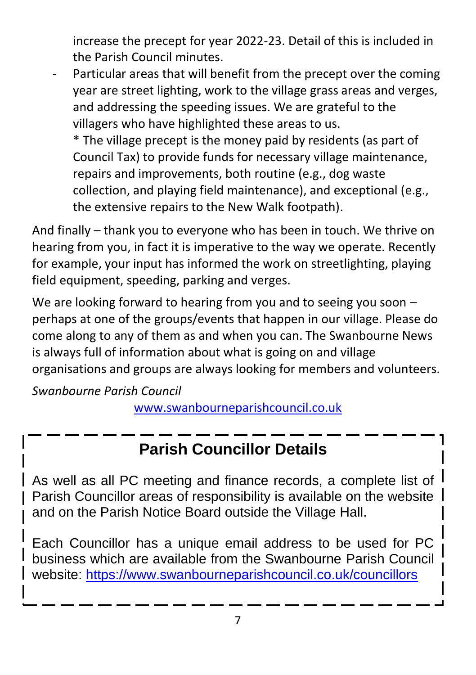increase the precept for year 2022-23. Detail of this is included in the Parish Council minutes.

Particular areas that will benefit from the precept over the coming year are street lighting, work to the village grass areas and verges, and addressing the speeding issues. We are grateful to the villagers who have highlighted these areas to us.

\* The village precept is the money paid by residents (as part of Council Tax) to provide funds for necessary village maintenance, repairs and improvements, both routine (e.g., dog waste collection, and playing field maintenance), and exceptional (e.g., the extensive repairs to the New Walk footpath).

And finally – thank you to everyone who has been in touch. We thrive on hearing from you, in fact it is imperative to the way we operate. Recently for example, your input has informed the work on streetlighting, playing field equipment, speeding, parking and verges.

We are looking forward to hearing from you and to seeing you soon – perhaps at one of the groups/events that happen in our village. Please do come along to any of them as and when you can. The Swanbourne News is always full of information about what is going on and village organisations and groups are always looking for members and volunteers.

*Swanbourne Parish Council*

[www.swanbourneparishcouncil.co.uk](http://www.swanbourneparishcouncil.co.uk/)

## **Parish Councillor Details**

As well as all PC meeting and finance records, a complete list of Parish Councillor areas of responsibility is available on the website 1 and on the Parish Notice Board outside the Village Hall.

Each Councillor has a unique email address to be used for PC business which are available from the Swanbourne Parish Council website:<https://www.swanbourneparishcouncil.co.uk/councillors>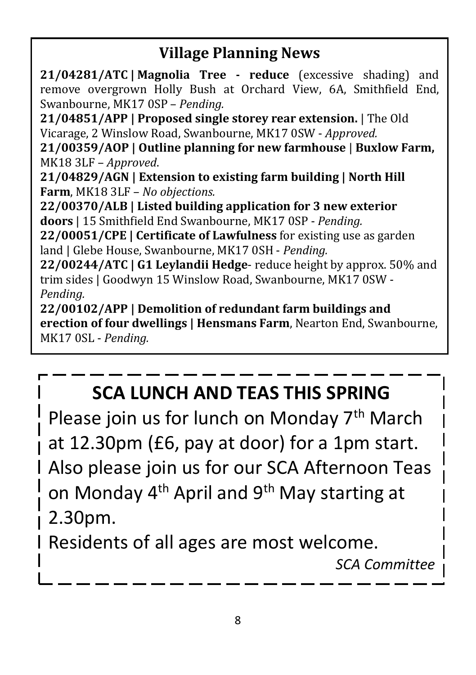## **Village Planning News**

**21/04281/ATC | Magnolia Tree - reduce** (excessive shading) and remove overgrown Holly Bush at Orchard View, 6A, Smithfield End, Swanbourne, MK17 0SP – *Pending.*

**21/04851/APP | Proposed single storey rear extension.** | The Old Vicarage, 2 Winslow Road, Swanbourne, MK17 0SW - *Approved.*

**21/00359/AOP | Outline planning for new farmhouse** | **Buxlow Farm,** MK18 3LF – *Approved*.

**21/04829/AGN | Extension to existing farm building | North Hill Farm**, MK18 3LF – *No objections.*

**22/00370/ALB | Listed building application for 3 new exterior doors** | 15 Smithfield End Swanbourne, MK17 0SP - *Pending.*

**22/00051/CPE | Certificate of Lawfulness** for existing use as garden land | Glebe House, Swanbourne, MK17 0SH - *Pending.*

**22/00244/ATC | G1 Leylandii Hedge**- reduce height by approx. 50% and trim sides | Goodwyn 15 Winslow Road, Swanbourne, MK17 0SW - *Pending.*

**22/00102/APP | Demolition of redundant farm buildings and erection of four dwellings | Hensmans Farm**, Nearton End, Swanbourne, MK17 0SL - *Pending.*

## **SCA LUNCH AND TEAS THIS SPRING**

Please join us for lunch on Monday 7<sup>th</sup> March at 12.30pm (£6, pay at door) for a 1pm start. Also please join us for our SCA Afternoon Teas on Monday 4<sup>th</sup> April and 9<sup>th</sup> May starting at 2.30pm.

Residents of all ages are most welcome.

*SCA Committee*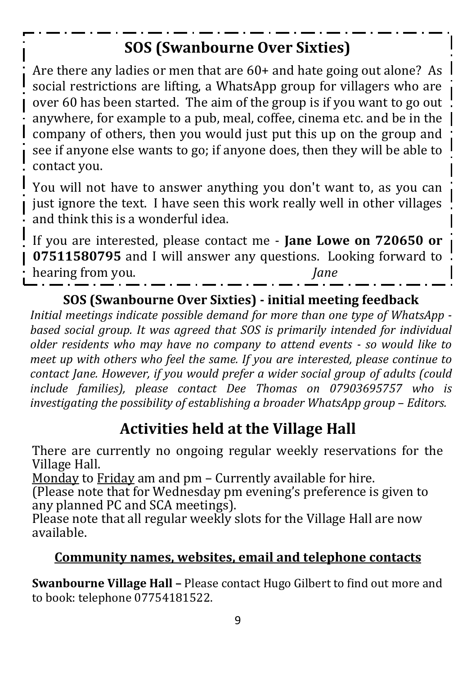## **SOS (Swanbourne Over Sixties)**

Are there any ladies or men that are 60+ and hate going out alone? As social restrictions are lifting, a WhatsApp group for villagers who are over 60 has been started. The aim of the group is if you want to go out anywhere, for example to a pub, meal, coffee, cinema etc. and be in the company of others, then you would just put this up on the group and see if anyone else wants to go; if anyone does, then they will be able to contact you.

You will not have to answer anything you don't want to, as you can just ignore the text. I have seen this work really well in other villages and think this is a wonderful idea.

If you are interested, please contact me - **Jane Lowe on 720650 or 07511580795** and I will answer any questions. Looking forward to hearing from you. *Jane*

#### **SOS (Swanbourne Over Sixties) - initial meeting feedback**

*Initial meetings indicate possible demand for more than one type of WhatsApp based social group. It was agreed that SOS is primarily intended for individual older residents who may have no company to attend events - so would like to meet up with others who feel the same. If you are interested, please continue to contact Jane. However, if you would prefer a wider social group of adults (could include families), please contact Dee Thomas on 07903695757 who is investigating the possibility of establishing a broader WhatsApp group* – *Editors.*

## **Activities held at the Village Hall**

There are currently no ongoing regular weekly reservations for the Village Hall.

Monday to Friday am and pm – Currently available for hire.

(Please note that for Wednesday pm evening's preference is given to any planned PC and SCA meetings).

Please note that all regular weekly slots for the Village Hall are now available.

#### **Community names, websites, email and telephone contacts**

**Swanbourne Village Hall –** Please contact Hugo Gilbert to find out more and to book: telephone 07754181522.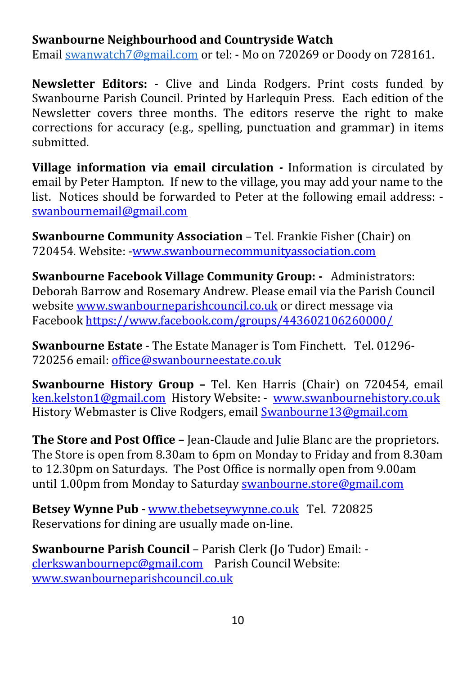#### **Swanbourne Neighbourhood and Countryside Watch**

Email [swanwatch7@gmail.com](mailto:swanwatch7@gmail.com) or tel: - Mo on 720269 or Doody on 728161.

**Newsletter Editors:** - Clive and Linda Rodgers. Print costs funded by Swanbourne Parish Council. Printed by Harlequin Press. Each edition of the Newsletter covers three months. The editors reserve the right to make corrections for accuracy (e.g., spelling, punctuation and grammar) in items submitted.

**Village information via email circulation** *-* Information is circulated by email by Peter Hampton. If new to the village, you may add your name to the list. Notices should be forwarded to Peter at the following email address: [swanbournemail@gmail.com](mailto:swanbournemail@gmail.com)

**Swanbourne Community Association** – Tel. Frankie Fisher (Chair) on 720454. Website: [-www.swanbournecommunityassociation.com](http://www.swanbournecommunityassociation.com/)

**Swanbourne Facebook Village Community Group: -** Administrators: Deborah Barrow and Rosemary Andrew. Please email via the Parish Council website [www.swanbourneparishcouncil.co.uk](http://www.swanbourneparishcouncil.co.uk/) or direct message via Faceboo[k https://www.facebook.com/groups/443602106260000/](https://www.facebook.com/groups/443602106260000/)

**Swanbourne Estate** - The Estate Manager is Tom Finchett. Tel. 01296- 720256 email[: office@swanbourneestate.co.uk](mailto:office@swanbourneestate.co.uk)

**Swanbourne History Group –** Tel. Ken Harris (Chair) on 720454, email [ken.kelston1@gmail.com](mailto:ken.kelston1@gmail.com) History Website: - [www.swanbournehistory.co.uk](http://www.swanbournehistory.co.uk/) History Webmaster is Clive Rodgers, email [Swanbourne13@gmail.com](mailto:Swanbourne13@gmail.com)

**The Store and Post Office –** Jean-Claude and Julie Blanc are the proprietors. The Store is open from 8.30am to 6pm on Monday to Friday and from 8.30am to 12.30pm on Saturdays. The Post Office is normally open from 9.00am until 1.00pm from Monday to Saturday [swanbourne.store@gmail.com](mailto:swanbourne.store@gmail.com)

**Betsey Wynne Pub -** [www.thebetseywynne.co.uk](http://www.thebetseywynne.co.uk/) Tel. 720825 Reservations for dining are usually made on-line.

**Swanbourne Parish Council** – Parish Clerk (Jo Tudor) Email: [clerkswanbournepc@gmail.com](mailto:clerkswanbournepc@gmail.com) Parish Council Website: [www.swanbourneparishcouncil.co.uk](http://www.swanbourneparishcouncil.co.uk/)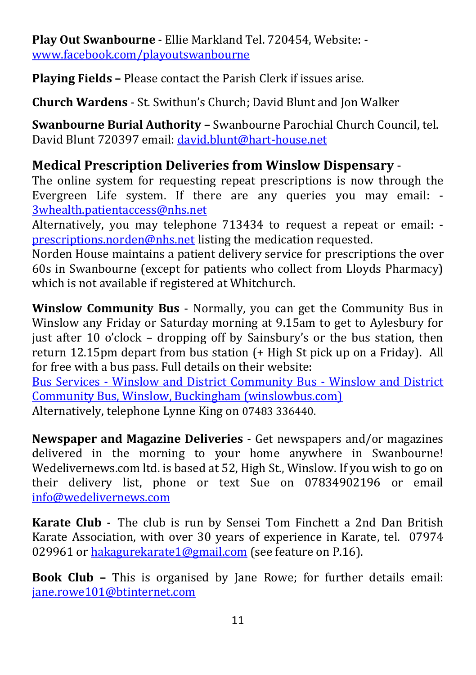**Play Out Swanbourne** - Ellie Markland Tel. 720454, Website: [www.facebook.com/playoutswanbourne](http://www.facebook.com/playoutswanbourne)

**Playing Fields –** Please contact the Parish Clerk if issues arise.

**Church Wardens** - St. Swithun's Church; David Blunt and Jon Walker

**Swanbourne Burial Authority –** Swanbourne Parochial Church Council, tel. David Blunt 720397 email: [david.blunt@hart-house.net](mailto:david.blunt@hart-house.net)

#### **Medical Prescription Deliveries from Winslow Dispensary** -

The online system for requesting repeat prescriptions is now through the Evergreen Life system. If there are any queries you may email: - [3whealth.patientaccess@nhs.net](mailto:3whealth.patientaccess@nhs.net)

Alternatively, you may telephone 713434 to request a repeat or email: [prescriptions.norden@nhs.net](mailto:prescriptions.norden@nhs.net) listing the medication requested.

Norden House maintains a patient delivery service for prescriptions the over 60s in Swanbourne (except for patients who collect from Lloyds Pharmacy) which is not available if registered at Whitchurch.

**Winslow Community Bus** - Normally, you can get the Community Bus in Winslow any Friday or Saturday morning at 9.15am to get to Aylesbury for just after 10 o'clock – dropping off by Sainsbury's or the bus station, then return 12.15pm depart from bus station (+ High St pick up on a Friday). All for free with a bus pass. Full details on their website:

Bus Services - [Winslow and District Community Bus -](https://www.winslowbus.com/community/winslow-and-district-community-bus-18483/bus-services/) Winslow and District [Community Bus, Winslow, Buckingham \(winslowbus.com\)](https://www.winslowbus.com/community/winslow-and-district-community-bus-18483/bus-services/) Alternatively, telephone Lynne King on 07483 336440.

**Newspaper and Magazine Deliveries** - Get newspapers and/or magazines delivered in the morning to your home anywhere in Swanbourne! Wedelivernews.com ltd. is based at 52, High St., Winslow. If you wish to go on their delivery list, phone or text Sue on 07834902196 or email [info@wedelivernews.com](mailto:info@wedelivernews.com)

**Karate Club** - The club is run by Sensei Tom Finchett a 2nd Dan British Karate Association, with over 30 years of experience in Karate, tel. 07974 029961 or [hakagurekarate1@gmail.com](mailto:hakagurekarate1@gmail.com) (see feature on P.16).

**Book Club –** This is organised by Jane Rowe; for further details email: [jane.rowe101@btinternet.com](mailto:jane.rowe101@btinternet.com)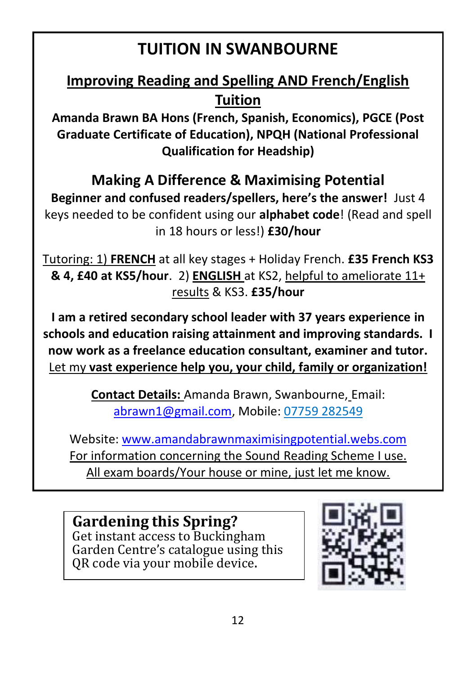## **TUITION IN SWANBOURNE**

## **Improving Reading and Spelling AND French/English Tuition**

**Amanda Brawn BA Hons (French, Spanish, Economics), PGCE (Post Graduate Certificate of Education), NPQH (National Professional Qualification for Headship)**

#### **Making A Difference & Maximising Potential**

**Beginner and confused readers/spellers, here's the answer!** Just 4 keys needed to be confident using our **alphabet code**! (Read and spell in 18 hours or less!) **£30/hour**

Tutoring: 1) **FRENCH** at all key stages + Holiday French. **£35 French KS3 & 4, £40 at KS5/hour**. 2) **ENGLISH** at KS2, helpful to ameliorate 11+ results & KS3. **£35/hour**

**I am a retired secondary school leader with 37 years experience in schools and education raising attainment and improving standards. I now work as a freelance education consultant, examiner and tutor.**  Let my **vast experience help you, your child, family or organization!**

> **Contact Details:** Amanda Brawn, Swanbourne, Email: [abrawn1@gmail.com,](mailto:abrawn1@gmail.com) Mobile: 07759 282549

Website: [www.amandabrawnmaximisingpotential.webs.com](http://www.amandabrawnmaximisingpotential.webs.com/) For information concerning the Sound Reading Scheme I use. All exam boards/Your house or mine, just let me know.

**Gardening this Spring?** Get instant access to Buckingham Garden Centre's catalogue using this QR code via your mobile device.

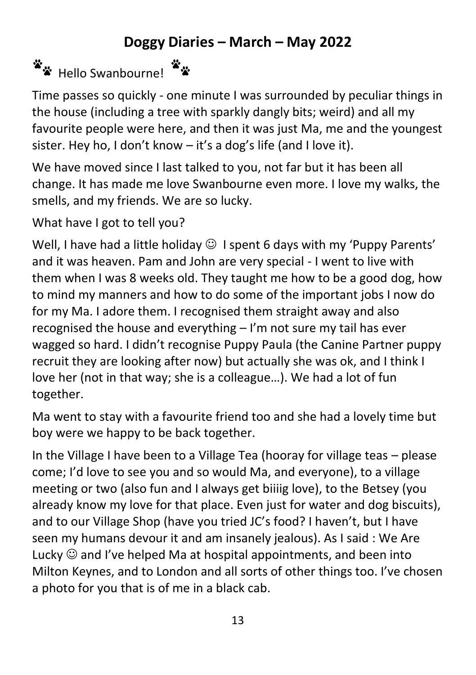#### **Doggy Diaries – March – May 2022**

## Hello Swanbourne!

Time passes so quickly - one minute I was surrounded by peculiar things in the house (including a tree with sparkly dangly bits; weird) and all my favourite people were here, and then it was just Ma, me and the youngest sister. Hey ho, I don't know – it's a dog's life (and I love it).

We have moved since I last talked to you, not far but it has been all change. It has made me love Swanbourne even more. I love my walks, the smells, and my friends. We are so lucky.

What have I got to tell you?

Well, I have had a little holiday  $\odot$  I spent 6 days with my 'Puppy Parents' and it was heaven. Pam and John are very special - I went to live with them when I was 8 weeks old. They taught me how to be a good dog, how to mind my manners and how to do some of the important jobs I now do for my Ma. I adore them. I recognised them straight away and also recognised the house and everything – I'm not sure my tail has ever wagged so hard. I didn't recognise Puppy Paula (the Canine Partner puppy recruit they are looking after now) but actually she was ok, and I think I love her (not in that way; she is a colleague…). We had a lot of fun together.

Ma went to stay with a favourite friend too and she had a lovely time but boy were we happy to be back together.

In the Village I have been to a Village Tea (hooray for village teas – please come; I'd love to see you and so would Ma, and everyone), to a village meeting or two (also fun and I always get biiiig love), to the Betsey (you already know my love for that place. Even just for water and dog biscuits), and to our Village Shop (have you tried JC's food? I haven't, but I have seen my humans devour it and am insanely jealous). As I said : We Are Lucky  $\odot$  and I've helped Ma at hospital appointments, and been into Milton Keynes, and to London and all sorts of other things too. I've chosen a photo for you that is of me in a black cab.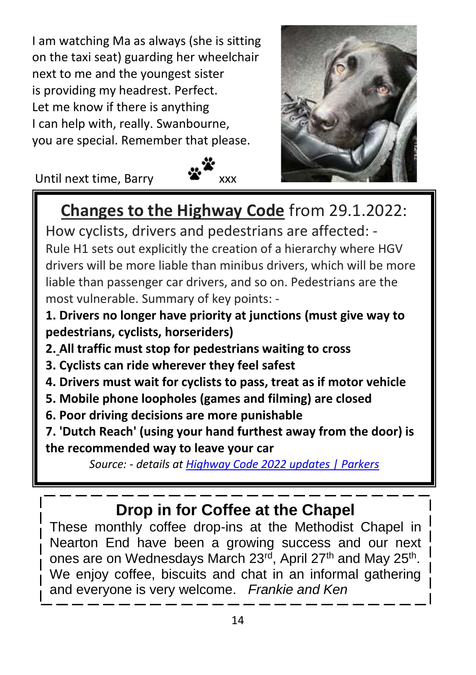I am watching Ma as always (she is sitting on the taxi seat) guarding her wheelchair next to me and the youngest sister is providing my headrest. Perfect. Let me know if there is anything I can help with, really. Swanbourne, you are special. Remember that please.

Until next time, Barry

Ī





## **Changes to the Highway Code** from 29.1.2022:

How cyclists, drivers and pedestrians are affected: - Rule H1 sets out explicitly the creation of a hierarchy where HGV drivers will be more liable than minibus drivers, which will be more liable than passenger car drivers, and so on. Pedestrians are the most vulnerable. Summary of key points: -

**1. [Drivers no longer have priority at junctions](https://www.parkers.co.uk/car-news/2022/highway-code-2022-updates/#Drivers%20no%20priority) (must give way to pedestrians, cyclists, horseriders)**

- **2. [All traffic must stop for pedestrians waiting to cross](https://www.parkers.co.uk/car-news/2022/highway-code-2022-updates/#All%20traffic%20stops%20for%20zebras)**
- **3. [Cyclists can ride wherever they feel safest](https://www.parkers.co.uk/car-news/2022/highway-code-2022-updates/#Cyclists%20stay%20visible)**
- **4. [Drivers must wait for cyclists to pass, treat as if motor vehicle](https://www.parkers.co.uk/car-news/2022/highway-code-2022-updates/#Cyclists%20are%20cars)**
- **5. [Mobile phone loopholes \(games and filming\) are closed](https://www.parkers.co.uk/car-news/2022/highway-code-2022-updates/#Mobiles%20are%20banned)**
- **6. [Poor driving decisions are more punishable](https://www.parkers.co.uk/car-news/2022/highway-code-2022-updates/#Minor%20offences%20punished)**

**7. ['Dutch Reach' \(using your hand furthest away from the door\) is](https://www.parkers.co.uk/car-news/2022/highway-code-2022-updates/#Dutch%20Reach)  [the recommended way to leave your car](https://www.parkers.co.uk/car-news/2022/highway-code-2022-updates/#Dutch%20Reach)**

*Source: - details at [Highway Code 2022 updates | Parkers](https://www.parkers.co.uk/car-news/2022/highway-code-2022-updates/)*

## **Drop in for Coffee at the Chapel**

These monthly coffee drop-ins at the Methodist Chapel in Nearton End have been a growing success and our next ones are on Wednesdays March 23<sup>rd</sup>, April 27<sup>th</sup> and May 25<sup>th</sup>. We enjoy coffee, biscuits and chat in an informal gathering and everyone is very welcome. *Frankie and Ken*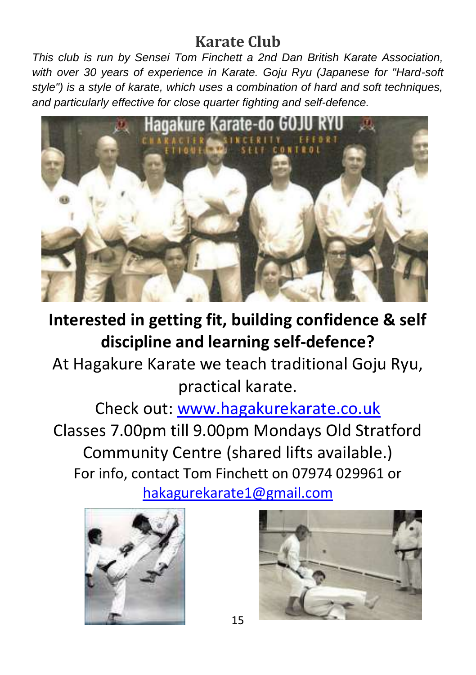## **Karate Club**

*This club is run by Sensei Tom Finchett a 2nd Dan British Karate Association, with over 30 years of experience in Karate. Goju Ryu (Japanese for "Hard-soft style") is a style of karate, which uses a combination of hard and soft techniques, and particularly effective for close quarter fighting and self-defence.*



## **Interested in getting fit, building confidence & self discipline and learning self-defence?**

At Hagakure Karate we teach traditional Goju Ryu, practical karate.

Check out: [www.hagakurekarate.co.uk](http://www.hagakurekarate.co.uk/) Classes 7.00pm till 9.00pm Mondays Old Stratford Community Centre (shared lifts available.) For info, contact Tom Finchett on 07974 029961 or [hakagurekarate1@gmail.com](mailto:hakagurekarate1@gmail.com)



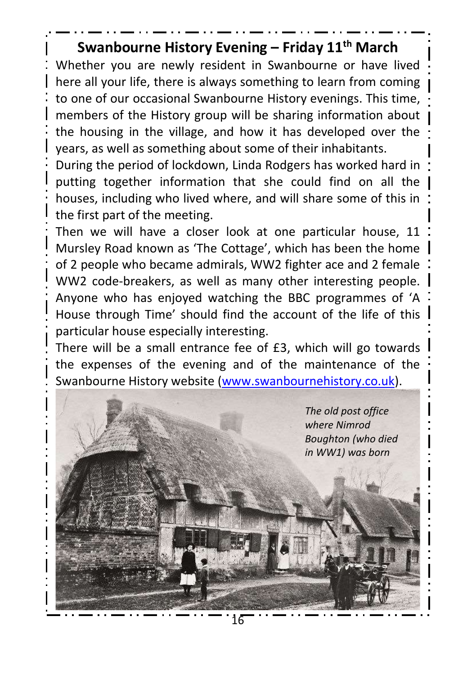#### **Swanbourne History Evening – Friday 11th March**

Whether you are newly resident in Swanbourne or have lived here all your life, there is always something to learn from coming to one of our occasional Swanbourne History evenings. This time, members of the History group will be sharing information about the housing in the village, and how it has developed over the years, as well as something about some of their inhabitants.

During the period of lockdown, Linda Rodgers has worked hard in putting together information that she could find on all the houses, including who lived where, and will share some of this in the first part of the meeting.

Then we will have a closer look at one particular house, 11 Mursley Road known as 'The Cottage', which has been the home of 2 people who became admirals, WW2 fighter ace and 2 female WW2 code-breakers, as well as many other interesting people. Anyone who has enjoyed watching the BBC programmes of 'A House through Time' should find the account of the life of this particular house especially interesting.

There will be a small entrance fee of £3, which will go towards the expenses of the evening and of the maintenance of the Swanbourne History website [\(www.swanbournehistory.co.uk\)](http://www.swanbournehistory.co.uk/).

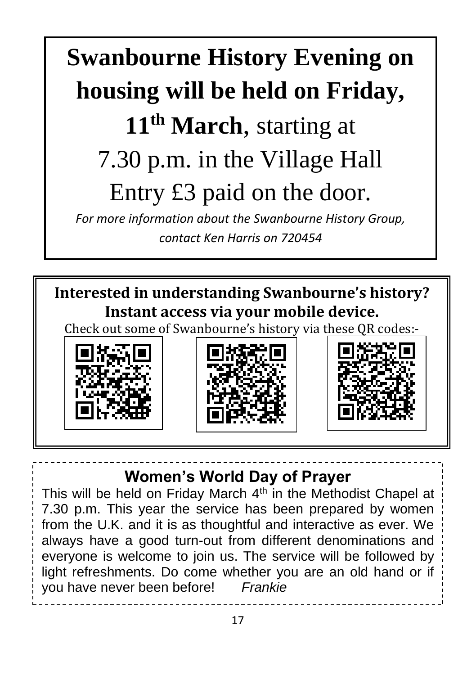# **Swanbourne History Evening on housing will be held on Friday, 11th March**, starting at 7.30 p.m. in the Village Hall Entry £3 paid on the door.

*For more information about the Swanbourne History Group, contact Ken Harris on 720454*

**Interested in understanding Swanbourne's history? Instant access via your mobile device.** Check out some of Swanbourne's history via these QR codes:-







**Women's World Day of Prayer**

This will be held on Friday March  $4<sup>th</sup>$  in the Methodist Chapel at 7.30 p.m. This year the service has been prepared by women from the U.K. and it is as thoughtful and interactive as ever. We always have a good turn-out from different denominations and everyone is welcome to join us. The service will be followed by light refreshments. Do come whether you are an old hand or if you have never been before! *Frankie*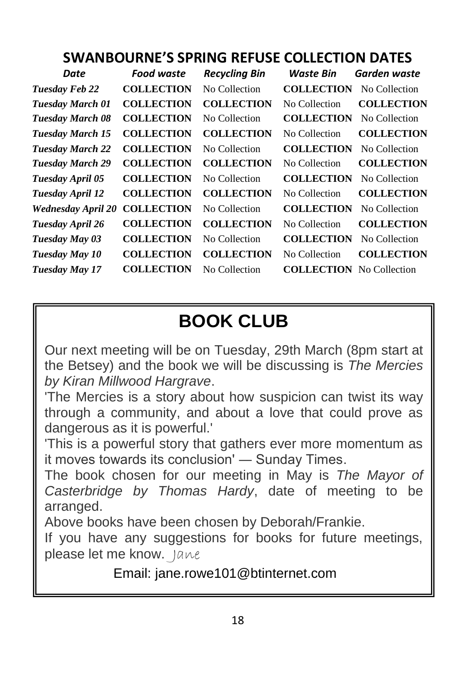#### **SWANBOURNE'S SPRING REFUSE COLLECTION DATES**

| Date                      | <b>Food waste</b> | <b>Recycling Bin</b> | Waste Bin                       | Garden waste      |
|---------------------------|-------------------|----------------------|---------------------------------|-------------------|
| <b>Tuesday Feb 22</b>     | <b>COLLECTION</b> | No Collection        | <b>COLLECTION</b>               | No Collection     |
| Tuesday March 01          | <b>COLLECTION</b> | <b>COLLECTION</b>    | No Collection                   | <b>COLLECTION</b> |
| <b>Tuesday March 08</b>   | <b>COLLECTION</b> | No Collection        | <b>COLLECTION</b>               | No Collection     |
| <b>Tuesday March 15</b>   | <b>COLLECTION</b> | <b>COLLECTION</b>    | No Collection                   | <b>COLLECTION</b> |
| <b>Tuesday March 22</b>   | <b>COLLECTION</b> | No Collection        | <b>COLLECTION</b>               | No Collection     |
| <b>Tuesday March 29</b>   | <b>COLLECTION</b> | <b>COLLECTION</b>    | No Collection                   | <b>COLLECTION</b> |
| Tuesday April 05          | <b>COLLECTION</b> | No Collection        | <b>COLLECTION</b>               | No Collection     |
| Tuesday April 12          | <b>COLLECTION</b> | <b>COLLECTION</b>    | No Collection                   | <b>COLLECTION</b> |
| <b>Wednesday April 20</b> | <b>COLLECTION</b> | No Collection        | <b>COLLECTION</b>               | No Collection     |
| Tuesday April 26          | <b>COLLECTION</b> | <b>COLLECTION</b>    | No Collection                   | <b>COLLECTION</b> |
| Tuesday May 03            | <b>COLLECTION</b> | No Collection        | <b>COLLECTION</b>               | No Collection     |
| Tuesday May 10            | <b>COLLECTION</b> | <b>COLLECTION</b>    | No Collection                   | <b>COLLECTION</b> |
| Tuesday May 17            | <b>COLLECTION</b> | No Collection        | <b>COLLECTION</b> No Collection |                   |

## **BOOK CLUB**

Our next meeting will be on Tuesday, 29th March (8pm start at the Betsey) and the book we will be discussing is *The Mercies by Kiran Millwood Hargrave*.

'The Mercies is a story about how suspicion can twist its way through a community, and about a love that could prove as dangerous as it is powerful.'

'This is a powerful story that gathers ever more momentum as it moves towards its conclusion' ― Sunday Times.

The book chosen for our meeting in May is *The Mayor of Casterbridge by Thomas Hardy*, date of meeting to be arranged.

Above books have been chosen by Deborah/Frankie.

If you have any suggestions for books for future meetings, please let me know. Jane

Email: jane.rowe101@btinternet.com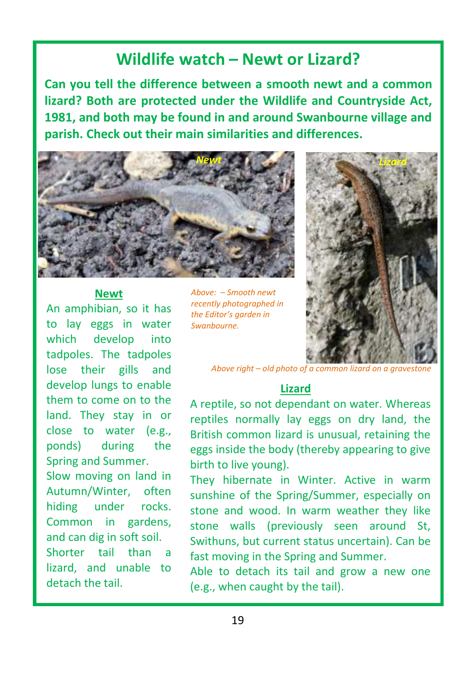#### **Wildlife watch – Newt or Lizard?**

**Can you tell the difference between a smooth newt and a common lizard? Both are protected under the Wildlife and Countryside Act, 1981, and both may be found in and around Swanbourne village and parish. Check out their main similarities and differences.**



#### **Newt**

An amphibian, so it has to lay eggs in water which develop into tadpoles. The tadpoles lose their gills and develop lungs to enable them to come on to the land. They stay in or close to water (e.g., ponds) during the Spring and Summer. Slow moving on land in Autumn/Winter, often hiding under rocks. Common in gardens, and can dig in soft soil. Shorter tail than a lizard, and unable to detach the tail.

*Above: – Smooth newt recently photographed in the Editor's garden in Swanbourne.*



*Above right – old photo of a common lizard on a gravestone*

#### **Lizard**

A reptile, so not dependant on water. Whereas reptiles normally lay eggs on dry land, the British common lizard is unusual, retaining the eggs inside the body (thereby appearing to give birth to live young).

They hibernate in Winter. Active in warm sunshine of the Spring/Summer, especially on stone and wood. In warm weather they like stone walls (previously seen around St, Swithuns, but current status uncertain). Can be fast moving in the Spring and Summer.

Able to detach its tail and grow a new one (e.g., when caught by the tail).